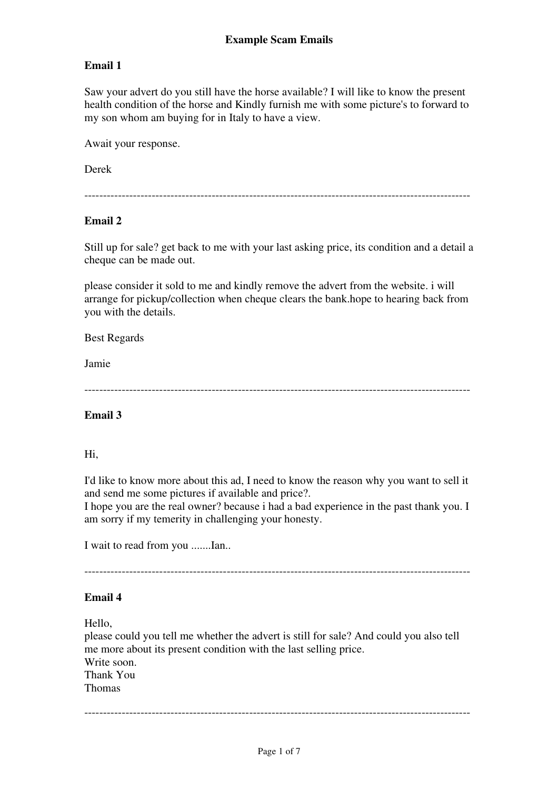Saw your advert do you still have the horse available? I will like to know the present health condition of the horse and Kindly furnish me with some picture's to forward to my son whom am buying for in Italy to have a view.

Await your response.

Derek

-------------------------------------------------------------------------------------------------------

### **Email 2**

Still up for sale? get back to me with your last asking price, its condition and a detail a cheque can be made out.

please consider it sold to me and kindly remove the advert from the website. i will arrange for pickup/collection when cheque clears the bank.hope to hearing back from you with the details.

Best Regards

Jamie

-------------------------------------------------------------------------------------------------------

### **Email 3**

#### Hi,

I'd like to know more about this ad, I need to know the reason why you want to sell it and send me some pictures if available and price?.

I hope you are the real owner? because i had a bad experience in the past thank you. I am sorry if my temerity in challenging your honesty.

I wait to read from you .......Ian..

-------------------------------------------------------------------------------------------------------

#### **Email 4**

Hello,

please could you tell me whether the advert is still for sale? And could you also tell me more about its present condition with the last selling price. Write soon. Thank You Thomas

-------------------------------------------------------------------------------------------------------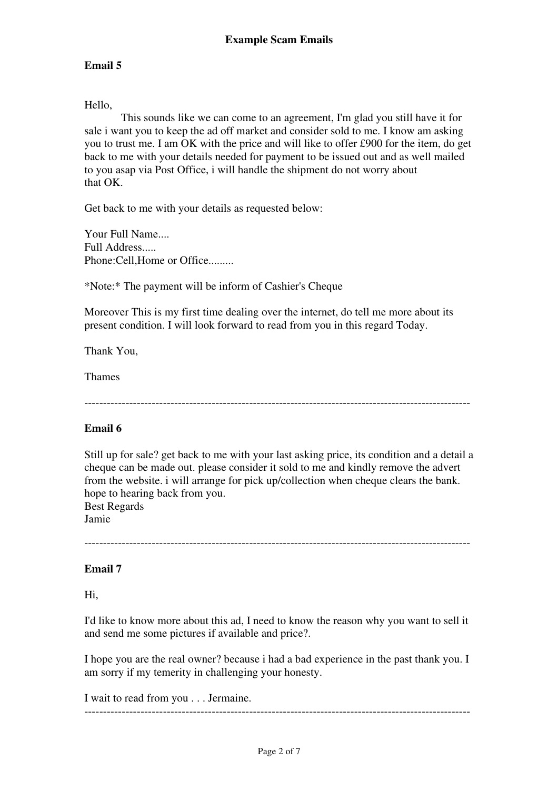#### Hello,

 This sounds like we can come to an agreement, I'm glad you still have it for sale i want you to keep the ad off market and consider sold to me. I know am asking you to trust me. I am OK with the price and will like to offer £900 for the item, do get back to me with your details needed for payment to be issued out and as well mailed to you asap via Post Office, i will handle the shipment do not worry about that OK.

Get back to me with your details as requested below:

Your Full Name.... Full Address..... Phone:Cell, Home or Office.........

\*Note:\* The payment will be inform of Cashier's Cheque

Moreover This is my first time dealing over the internet, do tell me more about its present condition. I will look forward to read from you in this regard Today.

Thank You,

Thames

-------------------------------------------------------------------------------------------------------

### **Email 6**

Still up for sale? get back to me with your last asking price, its condition and a detail a cheque can be made out. please consider it sold to me and kindly remove the advert from the website. i will arrange for pick up/collection when cheque clears the bank. hope to hearing back from you. Best Regards

Jamie

-------------------------------------------------------------------------------------------------------

### **Email 7**

Hi,

I'd like to know more about this ad, I need to know the reason why you want to sell it and send me some pictures if available and price?.

I hope you are the real owner? because i had a bad experience in the past thank you. I am sorry if my temerity in challenging your honesty.

I wait to read from you . . . Jermaine.

-------------------------------------------------------------------------------------------------------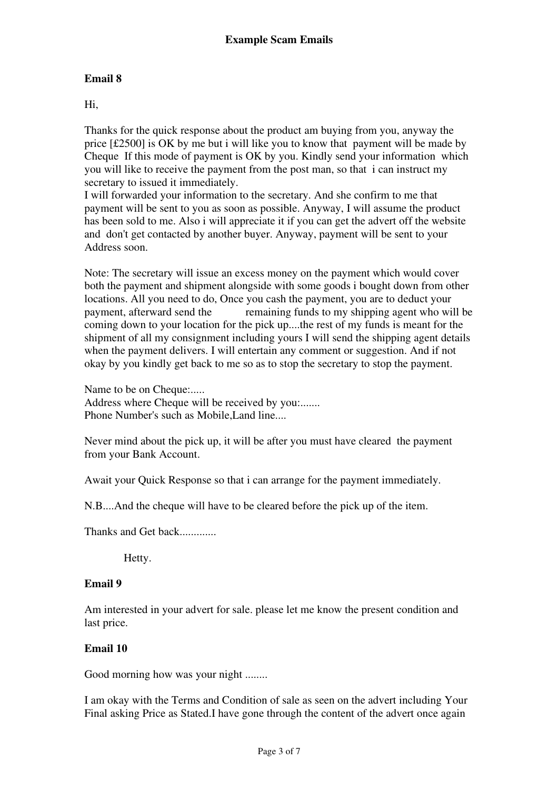#### Hi,

Thanks for the quick response about the product am buying from you, anyway the price [£2500] is OK by me but i will like you to know that payment will be made by Cheque If this mode of payment is OK by you. Kindly send your information which you will like to receive the payment from the post man, so that i can instruct my secretary to issued it immediately.

I will forwarded your information to the secretary. And she confirm to me that payment will be sent to you as soon as possible. Anyway, I will assume the product has been sold to me. Also i will appreciate it if you can get the advert off the website and don't get contacted by another buyer. Anyway, payment will be sent to your Address soon.

Note: The secretary will issue an excess money on the payment which would cover both the payment and shipment alongside with some goods i bought down from other locations. All you need to do, Once you cash the payment, you are to deduct your payment, afterward send the remaining funds to my shipping agent who will be coming down to your location for the pick up....the rest of my funds is meant for the shipment of all my consignment including yours I will send the shipping agent details when the payment delivers. I will entertain any comment or suggestion. And if not okay by you kindly get back to me so as to stop the secretary to stop the payment.

Name to be on Cheque:..... Address where Cheque will be received by you:....... Phone Number's such as Mobile,Land line....

Never mind about the pick up, it will be after you must have cleared the payment from your Bank Account.

Await your Quick Response so that i can arrange for the payment immediately.

N.B....And the cheque will have to be cleared before the pick up of the item.

Thanks and Get back.............

Hetty.

#### **Email 9**

Am interested in your advert for sale. please let me know the present condition and last price.

### **Email 10**

Good morning how was your night ........

I am okay with the Terms and Condition of sale as seen on the advert including Your Final asking Price as Stated.I have gone through the content of the advert once again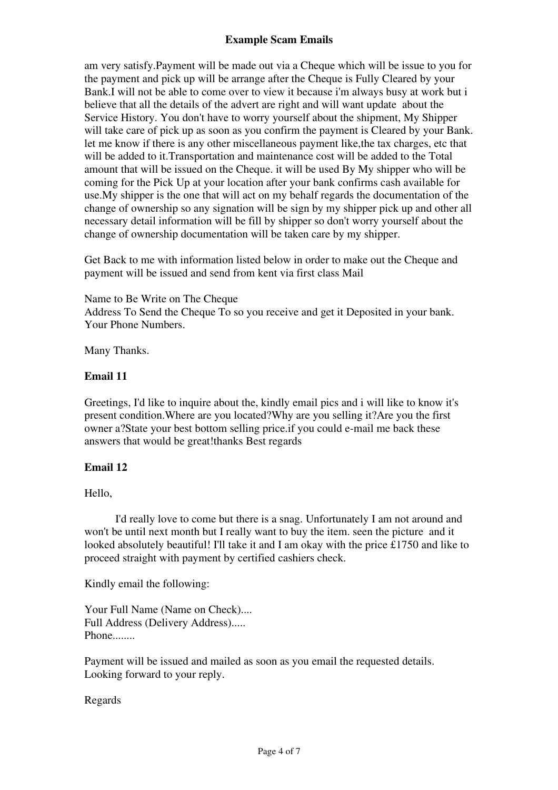### **Example Scam Emails**

am very satisfy.Payment will be made out via a Cheque which will be issue to you for the payment and pick up will be arrange after the Cheque is Fully Cleared by your Bank.I will not be able to come over to view it because i'm always busy at work but i believe that all the details of the advert are right and will want update about the Service History. You don't have to worry yourself about the shipment, My Shipper will take care of pick up as soon as you confirm the payment is Cleared by your Bank. let me know if there is any other miscellaneous payment like,the tax charges, etc that will be added to it.Transportation and maintenance cost will be added to the Total amount that will be issued on the Cheque. it will be used By My shipper who will be coming for the Pick Up at your location after your bank confirms cash available for use.My shipper is the one that will act on my behalf regards the documentation of the change of ownership so any signation will be sign by my shipper pick up and other all necessary detail information will be fill by shipper so don't worry yourself about the change of ownership documentation will be taken care by my shipper.

Get Back to me with information listed below in order to make out the Cheque and payment will be issued and send from kent via first class Mail

Name to Be Write on The Cheque Address To Send the Cheque To so you receive and get it Deposited in your bank. Your Phone Numbers.

Many Thanks.

#### **Email 11**

Greetings, I'd like to inquire about the, kindly email pics and i will like to know it's present condition.Where are you located?Why are you selling it?Are you the first owner a?State your best bottom selling price.if you could e-mail me back these answers that would be great!thanks Best regards

### **Email 12**

Hello,

 I'd really love to come but there is a snag. Unfortunately I am not around and won't be until next month but I really want to buy the item. seen the picture and it looked absolutely beautiful! I'll take it and I am okay with the price £1750 and like to proceed straight with payment by certified cashiers check.

Kindly email the following:

Your Full Name (Name on Check).... Full Address (Delivery Address)..... Phone........

Payment will be issued and mailed as soon as you email the requested details. Looking forward to your reply.

Regards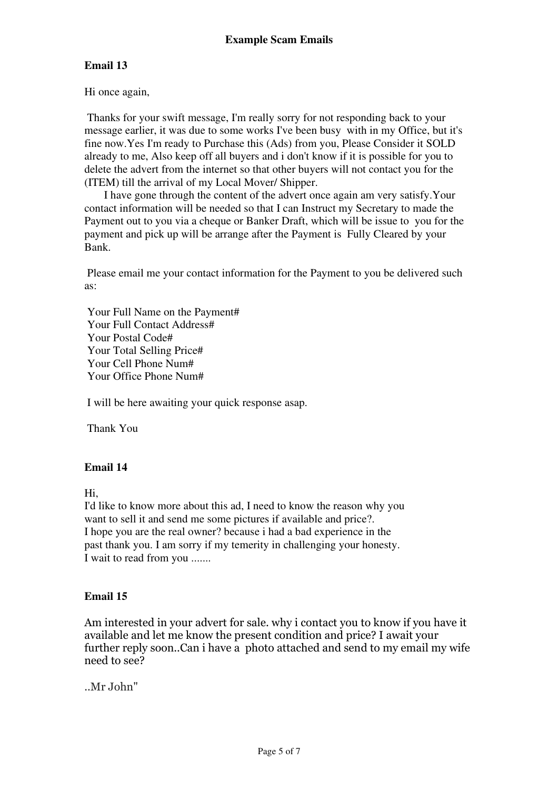Hi once again,

 Thanks for your swift message, I'm really sorry for not responding back to your message earlier, it was due to some works I've been busy with in my Office, but it's fine now.Yes I'm ready to Purchase this (Ads) from you, Please Consider it SOLD already to me, Also keep off all buyers and i don't know if it is possible for you to delete the advert from the internet so that other buyers will not contact you for the (ITEM) till the arrival of my Local Mover/ Shipper.

 I have gone through the content of the advert once again am very satisfy.Your contact information will be needed so that I can Instruct my Secretary to made the Payment out to you via a cheque or Banker Draft, which will be issue to you for the payment and pick up will be arrange after the Payment is Fully Cleared by your Bank.

 Please email me your contact information for the Payment to you be delivered such as:

 Your Full Name on the Payment# Your Full Contact Address# Your Postal Code# Your Total Selling Price# Your Cell Phone Num# Your Office Phone Num#

I will be here awaiting your quick response asap.

Thank You

### **Email 14**

Hi,

I'd like to know more about this ad, I need to know the reason why you want to sell it and send me some pictures if available and price?. I hope you are the real owner? because i had a bad experience in the past thank you. I am sorry if my temerity in challenging your honesty. I wait to read from you .......

### **Email 15**

Am interested in your advert for sale. why i contact you to know if you have it available and let me know the present condition and price? I await your further reply soon..Can i have a photo attached and send to my email my wife need to see?

..Mr John"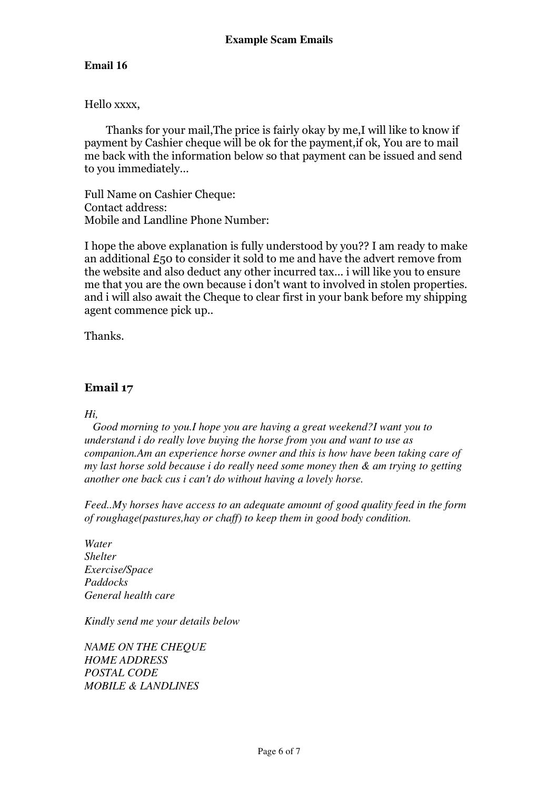### Hello xxxx,

 Thanks for your mail,The price is fairly okay by me,I will like to know if payment by Cashier cheque will be ok for the payment,if ok, You are to mail me back with the information below so that payment can be issued and send to you immediately...

Full Name on Cashier Cheque: Contact address: Mobile and Landline Phone Number:

I hope the above explanation is fully understood by you?? I am ready to make an additional £50 to consider it sold to me and have the advert remove from the website and also deduct any other incurred tax... i will like you to ensure me that you are the own because i don't want to involved in stolen properties. and i will also await the Cheque to clear first in your bank before my shipping agent commence pick up..

Thanks.

# **Email 17**

#### *Hi,*

 *Good morning to you.I hope you are having a great weekend?I want you to understand i do really love buying the horse from you and want to use as companion.Am an experience horse owner and this is how have been taking care of my last horse sold because i do really need some money then & am trying to getting another one back cus i can't do without having a lovely horse.*

*Feed..My horses have access to an adequate amount of good quality feed in the form of roughage(pastures,hay or chaff) to keep them in good body condition.*

*Water Shelter Exercise/Space Paddocks General health care*

*Kindly send me your details below*

*NAME ON THE CHEQUE HOME ADDRESS POSTAL CODE MOBILE & LANDLINES*